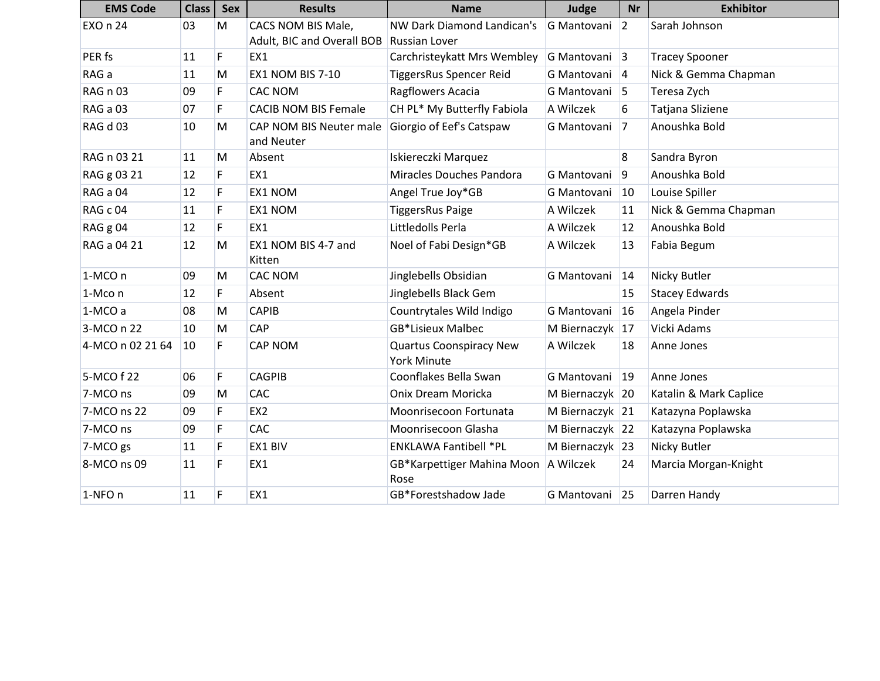| <b>EMS Code</b>  | <b>Class</b> | <b>Sex</b> | <b>Results</b>                        | <b>Name</b>                                   | Judge           | <b>Nr</b>      | <b>Exhibitor</b>       |
|------------------|--------------|------------|---------------------------------------|-----------------------------------------------|-----------------|----------------|------------------------|
| <b>EXO n 24</b>  | 03           | M          | CACS NOM BIS Male,                    | <b>NW Dark Diamond Landican's</b>             | G Mantovani     | $ 2\rangle$    | Sarah Johnson          |
|                  |              |            | Adult, BIC and Overall BOB            | <b>Russian Lover</b>                          |                 |                |                        |
| PER fs           | 11           | F.         | EX1                                   | Carchristeykatt Mrs Wembley                   | G Mantovani 3   |                | <b>Tracey Spooner</b>  |
| RAG a            | 11           | M          | <b>EX1 NOM BIS 7-10</b>               | TiggersRus Spencer Reid                       | G Mantovani 4   |                | Nick & Gemma Chapman   |
| RAG n 03         | 09           | F          | <b>CAC NOM</b>                        | Ragflowers Acacia                             | G Mantovani 5   |                | Teresa Zych            |
| RAG a 03         | 07           | F          | <b>CACIB NOM BIS Female</b>           | CH PL* My Butterfly Fabiola                   | A Wilczek       | 6              | Tatjana Sliziene       |
| RAG d 03         | 10           | M          | CAP NOM BIS Neuter male<br>and Neuter | Giorgio of Eef's Catspaw                      | G Mantovani     | 7              | Anoushka Bold          |
| RAG n 03 21      | 11           | M          | Absent                                | Iskiereczki Marquez                           |                 | $\overline{8}$ | Sandra Byron           |
| RAG g 03 21      | 12           | F          | EX1                                   | Miracles Douches Pandora                      | G Mantovani     | $\overline{9}$ | Anoushka Bold          |
| RAG a 04         | 12           | F          | EX1 NOM                               | Angel True Joy*GB                             | G Mantovani     | 10             | Louise Spiller         |
| RAG c 04         | 11           | F.         | EX1 NOM                               | <b>TiggersRus Paige</b>                       | A Wilczek       | 11             | Nick & Gemma Chapman   |
| RAG g 04         | 12           | F          | EX1                                   | Littledolls Perla                             | A Wilczek       | 12             | Anoushka Bold          |
| RAG a 04 21      | 12           | M          | EX1 NOM BIS 4-7 and<br>Kitten         | Noel of Fabi Design*GB                        | A Wilczek       | 13             | Fabia Begum            |
| 1-MCO n          | 09           | M          | <b>CAC NOM</b>                        | Jinglebells Obsidian                          | G Mantovani     | 14             | Nicky Butler           |
| 1-Mco n          | 12           | F          | Absent                                | Jinglebells Black Gem                         |                 | 15             | <b>Stacey Edwards</b>  |
| 1-MCO a          | 08           | M          | <b>CAPIB</b>                          | Countrytales Wild Indigo                      | G Mantovani     | 16             | Angela Pinder          |
| 3-MCO n 22       | 10           | M          | CAP                                   | <b>GB*Lisieux Malbec</b>                      | M Biernaczyk 17 |                | Vicki Adams            |
| 4-MCO n 02 21 64 | 10           | F.         | <b>CAP NOM</b>                        | <b>Quartus Coonspiracy New</b><br>York Minute | A Wilczek       | 18             | Anne Jones             |
| 5-MCO f 22       | 06           | F          | <b>CAGPIB</b>                         | Coonflakes Bella Swan                         | G Mantovani     | 19             | Anne Jones             |
| 7-MCO ns         | 09           | M          | CAC                                   | Onix Dream Moricka                            | M Biernaczyk 20 |                | Katalin & Mark Caplice |
| 7-MCO ns 22      | 09           | F.         | EX <sub>2</sub>                       | Moonrisecoon Fortunata                        | M Biernaczyk 21 |                | Katazyna Poplawska     |
| 7-MCO ns         | 09           | F          | CAC                                   | Moonrisecoon Glasha                           | M Biernaczyk 22 |                | Katazyna Poplawska     |
| 7-MCO gs         | 11           | F          | EX1 BIV                               | <b>ENKLAWA Fantibell *PL</b>                  | M Biernaczyk 23 |                | Nicky Butler           |
| 8-MCO ns 09      | 11           | F          | EX1                                   | GB*Karpettiger Mahina Moon<br>Rose            | A Wilczek       | 24             | Marcia Morgan-Knight   |
| 1-NFO n          | 11           | F          | EX1                                   | GB*Forestshadow Jade                          | G Mantovani     | 25             | Darren Handy           |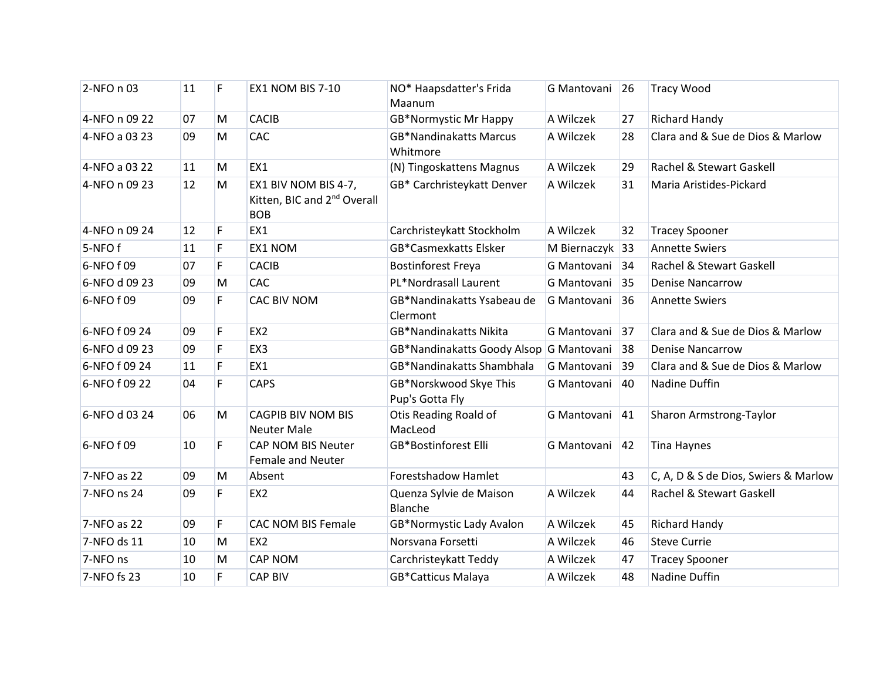| 2-NFO n 03    | 11 | F. | <b>EX1 NOM BIS 7-10</b>                                                       | NO* Haapsdatter's Frida<br>Maanum         | G Mantovani 26  |    | <b>Tracy Wood</b>                    |
|---------------|----|----|-------------------------------------------------------------------------------|-------------------------------------------|-----------------|----|--------------------------------------|
| 4-NFO n 09 22 | 07 | M  | <b>CACIB</b>                                                                  | <b>GB*Normystic Mr Happy</b>              | A Wilczek       | 27 | <b>Richard Handy</b>                 |
| 4-NFO a 03 23 | 09 | M  | CAC                                                                           | <b>GB*Nandinakatts Marcus</b><br>Whitmore | A Wilczek       | 28 | Clara and & Sue de Dios & Marlow     |
| 4-NFO a 03 22 | 11 | M  | EX1                                                                           | (N) Tingoskattens Magnus                  | A Wilczek       | 29 | Rachel & Stewart Gaskell             |
| 4-NFO n 09 23 | 12 | M  | EX1 BIV NOM BIS 4-7,<br>Kitten, BIC and 2 <sup>nd</sup> Overall<br><b>BOB</b> | GB* Carchristeykatt Denver                | A Wilczek       | 31 | Maria Aristides-Pickard              |
| 4-NFO n 09 24 | 12 | F. | EX1                                                                           | Carchristeykatt Stockholm                 | A Wilczek       | 32 | <b>Tracey Spooner</b>                |
| 5-NFOf        | 11 | F  | EX1 NOM                                                                       | <b>GB*Casmexkatts Elsker</b>              | M Biernaczyk 33 |    | <b>Annette Swiers</b>                |
| 6-NFO f 09    | 07 | F. | <b>CACIB</b>                                                                  | <b>Bostinforest Freya</b>                 | G Mantovani 34  |    | Rachel & Stewart Gaskell             |
| 6-NFO d 09 23 | 09 | M  | <b>CAC</b>                                                                    | PL*Nordrasall Laurent                     | G Mantovani 35  |    | <b>Denise Nancarrow</b>              |
| 6-NFO f 09    | 09 | F. | CAC BIV NOM                                                                   | GB*Nandinakatts Ysabeau de<br>Clermont    | G Mantovani     | 36 | <b>Annette Swiers</b>                |
| 6-NFO f 09 24 | 09 | F  | EX <sub>2</sub>                                                               | <b>GB*Nandinakatts Nikita</b>             | G Mantovani 37  |    | Clara and & Sue de Dios & Marlow     |
| 6-NFO d 09 23 | 09 | F  | EX3                                                                           | GB*Nandinakatts Goody Alsop G Mantovani   |                 | 38 | <b>Denise Nancarrow</b>              |
| 6-NFO f 09 24 | 11 | F. | EX1                                                                           | <b>GB*Nandinakatts Shambhala</b>          | G Mantovani 39  |    | Clara and & Sue de Dios & Marlow     |
| 6-NFO f 09 22 | 04 | F. | <b>CAPS</b>                                                                   | GB*Norskwood Skye This<br>Pup's Gotta Fly | G Mantovani     | 40 | Nadine Duffin                        |
| 6-NFO d 03 24 | 06 | M  | <b>CAGPIB BIV NOM BIS</b><br><b>Neuter Male</b>                               | Otis Reading Roald of<br>MacLeod          | G Mantovani     | 41 | Sharon Armstrong-Taylor              |
| 6-NFO f 09    | 10 | F. | <b>CAP NOM BIS Neuter</b><br><b>Female and Neuter</b>                         | GB*Bostinforest Elli                      | G Mantovani     | 42 | <b>Tina Haynes</b>                   |
| 7-NFO as 22   | 09 | M  | Absent                                                                        | <b>Forestshadow Hamlet</b>                |                 | 43 | C, A, D & S de Dios, Swiers & Marlow |
| 7-NFO ns 24   | 09 | F. | EX <sub>2</sub>                                                               | Quenza Sylvie de Maison<br>Blanche        | A Wilczek       | 44 | Rachel & Stewart Gaskell             |
| 7-NFO as 22   | 09 | F  | <b>CAC NOM BIS Female</b>                                                     | GB*Normystic Lady Avalon                  | A Wilczek       | 45 | <b>Richard Handy</b>                 |
| 7-NFO ds 11   | 10 | M  | EX <sub>2</sub>                                                               | Norsvana Forsetti                         | A Wilczek       | 46 | <b>Steve Currie</b>                  |
| 7-NFO ns      | 10 | M  | <b>CAP NOM</b>                                                                | Carchristeykatt Teddy                     | A Wilczek       | 47 | <b>Tracey Spooner</b>                |
| 7-NFO fs 23   | 10 | F. | <b>CAP BIV</b>                                                                | <b>GB*Catticus Malaya</b>                 | A Wilczek       | 48 | Nadine Duffin                        |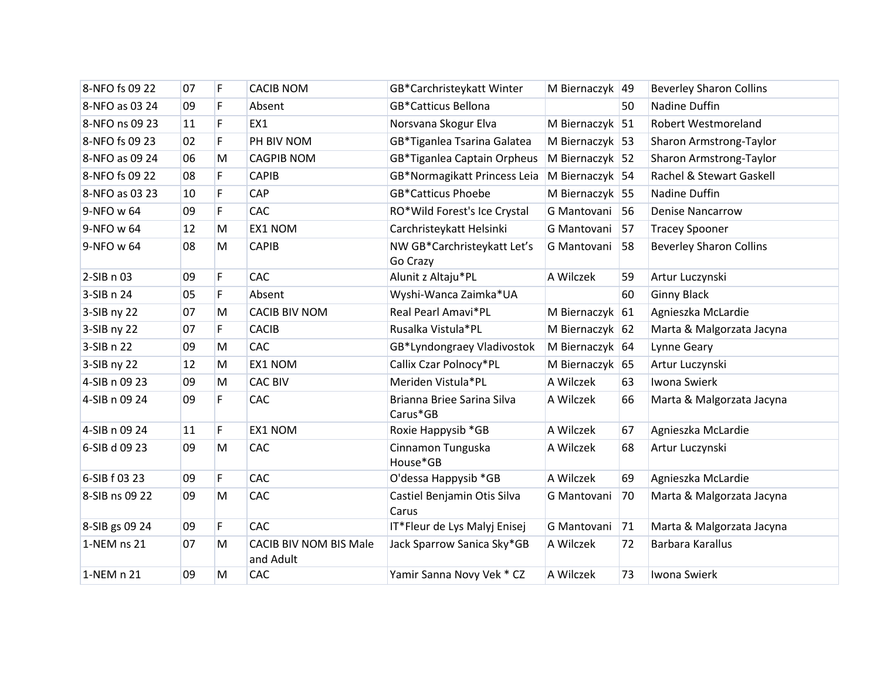| 8-NFO fs 09 22 | 07 | F  | <b>CACIB NOM</b>                           | GB*Carchristeykatt Winter               | M Biernaczyk 49   |    | <b>Beverley Sharon Collins</b> |
|----------------|----|----|--------------------------------------------|-----------------------------------------|-------------------|----|--------------------------------|
| 8-NFO as 03 24 | 09 | F  | Absent                                     | <b>GB*Catticus Bellona</b>              |                   | 50 | Nadine Duffin                  |
| 8-NFO ns 09 23 | 11 | F  | EX1                                        | Norsvana Skogur Elva                    | M Biernaczyk 51   |    | Robert Westmoreland            |
| 8-NFO fs 09 23 | 02 | F  | PH BIV NOM                                 | GB*Tiganlea Tsarina Galatea             | M Biernaczyk   53 |    | Sharon Armstrong-Taylor        |
| 8-NFO as 09 24 | 06 | M  | <b>CAGPIB NOM</b>                          | GB*Tiganlea Captain Orpheus             | M Biernaczyk 52   |    | Sharon Armstrong-Taylor        |
| 8-NFO fs 09 22 | 08 | F  | <b>CAPIB</b>                               | GB*Normagikatt Princess Leia            | M Biernaczyk 54   |    | Rachel & Stewart Gaskell       |
| 8-NFO as 03 23 | 10 | F  | CAP                                        | <b>GB*Catticus Phoebe</b>               | M Biernaczyk 55   |    | Nadine Duffin                  |
| 9-NFO w 64     | 09 | F. | CAC                                        | RO*Wild Forest's Ice Crystal            | G Mantovani 56    |    | <b>Denise Nancarrow</b>        |
| 9-NFO w 64     | 12 | M  | EX1 NOM                                    | Carchristeykatt Helsinki                | G Mantovani       | 57 | <b>Tracey Spooner</b>          |
| 9-NFO w 64     | 08 | M  | <b>CAPIB</b>                               | NW GB*Carchristeykatt Let's<br>Go Crazy | G Mantovani       | 58 | <b>Beverley Sharon Collins</b> |
| 2-SIB n 03     | 09 | F  | <b>CAC</b>                                 | Alunit z Altaju*PL                      | A Wilczek         | 59 | Artur Luczynski                |
| 3-SIB n 24     | 05 | F  | Absent                                     | Wyshi-Wanca Zaimka*UA                   |                   | 60 | <b>Ginny Black</b>             |
| 3-SIB ny 22    | 07 | M  | <b>CACIB BIV NOM</b>                       | Real Pearl Amavi*PL                     | M Biernaczyk 61   |    | Agnieszka McLardie             |
| 3-SIB ny 22    | 07 | F  | <b>CACIB</b>                               | Rusalka Vistula*PL                      | M Biernaczyk 62   |    | Marta & Malgorzata Jacyna      |
| 3-SIB n 22     | 09 | M  | CAC                                        | GB*Lyndongraey Vladivostok              | M Biernaczyk 64   |    | Lynne Geary                    |
| 3-SIB ny 22    | 12 | M  | EX1 NOM                                    | Callix Czar Polnocy*PL                  | M Biernaczyk 65   |    | Artur Luczynski                |
| 4-SIB n 09 23  | 09 | M  | <b>CAC BIV</b>                             | Meriden Vistula*PL                      | A Wilczek         | 63 | Iwona Swierk                   |
| 4-SIB n 09 24  | 09 | F. | CAC                                        | Brianna Briee Sarina Silva<br>Carus*GB  | A Wilczek         | 66 | Marta & Malgorzata Jacyna      |
| 4-SIB n 09 24  | 11 | F  | EX1 NOM                                    | Roxie Happysib *GB                      | A Wilczek         | 67 | Agnieszka McLardie             |
| 6-SIB d 09 23  | 09 | M  | CAC                                        | Cinnamon Tunguska<br>House*GB           | A Wilczek         | 68 | Artur Luczynski                |
| 6-SIB f 03 23  | 09 | F  | CAC                                        | O'dessa Happysib *GB                    | A Wilczek         | 69 | Agnieszka McLardie             |
| 8-SIB ns 09 22 | 09 | M  | CAC                                        | Castiel Benjamin Otis Silva<br>Carus    | G Mantovani       | 70 | Marta & Malgorzata Jacyna      |
| 8-SIB gs 09 24 | 09 | F. | CAC                                        | IT*Fleur de Lys Malyj Enisej            | G Mantovani       | 71 | Marta & Malgorzata Jacyna      |
| 1-NEM ns 21    | 07 | M  | <b>CACIB BIV NOM BIS Male</b><br>and Adult | Jack Sparrow Sanica Sky*GB              | A Wilczek         | 72 | Barbara Karallus               |
| 1-NEM n 21     | 09 | M  | CAC                                        | Yamir Sanna Novy Vek * CZ               | A Wilczek         | 73 | Iwona Swierk                   |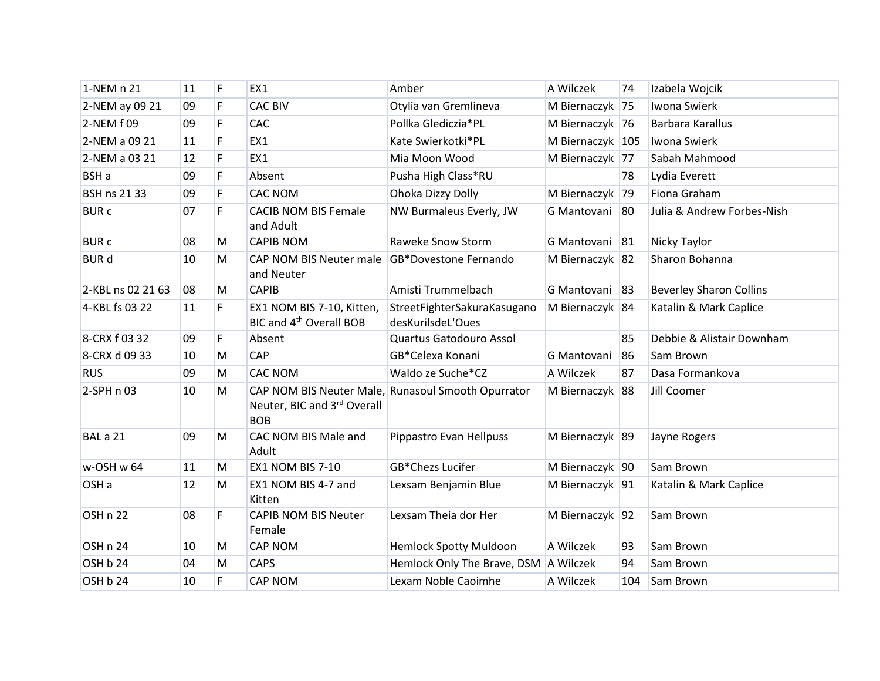| 1-NEM n 21        | 11 | F         | EX1                                                              | Amber                                              | A Wilczek        | 74  | Izabela Wojcik                 |
|-------------------|----|-----------|------------------------------------------------------------------|----------------------------------------------------|------------------|-----|--------------------------------|
| 2-NEM ay 09 21    | 09 | F.        | <b>CAC BIV</b>                                                   | Otylia van Gremlineva                              | M Biernaczyk 75  |     | Iwona Swierk                   |
| 2-NEM f 09        | 09 | F         | CAC                                                              | Pollka Glediczia*PL                                | M Biernaczyk 76  |     | Barbara Karallus               |
| 2-NEM a 09 21     | 11 | F.        | EX1                                                              | Kate Swierkotki*PL                                 | M Biernaczyk 105 |     | Iwona Swierk                   |
| 2-NEM a 03 21     | 12 | F         | EX1                                                              | Mia Moon Wood                                      | M Biernaczyk 77  |     | Sabah Mahmood                  |
| BSH a             | 09 | F         | Absent                                                           | Pusha High Class*RU                                |                  | 78  | Lydia Everett                  |
| BSH ns 21 33      | 09 | F         | <b>CAC NOM</b>                                                   | Ohoka Dizzy Dolly                                  | M Biernaczyk 79  |     | Fiona Graham                   |
| <b>BURC</b>       | 07 | F.        | <b>CACIB NOM BIS Female</b><br>and Adult                         | NW Burmaleus Everly, JW                            | G Mantovani 80   |     | Julia & Andrew Forbes-Nish     |
| <b>BURC</b>       | 08 | M         | <b>CAPIB NOM</b>                                                 | Raweke Snow Storm                                  | G Mantovani 81   |     | Nicky Taylor                   |
| <b>BUR d</b>      | 10 | M         | CAP NOM BIS Neuter male<br>and Neuter                            | <b>GB*Dovestone Fernando</b>                       | M Biernaczyk 82  |     | Sharon Bohanna                 |
| 2-KBL ns 02 21 63 | 08 | M         | <b>CAPIB</b>                                                     | Amisti Trummelbach                                 | G Mantovani 83   |     | <b>Beverley Sharon Collins</b> |
| 4-KBL fs 03 22    | 11 | F.        | EX1 NOM BIS 7-10, Kitten,<br>BIC and 4 <sup>th</sup> Overall BOB | StreetFighterSakuraKasugano<br>desKurilsdeL'Oues   | M Biernaczyk 84  |     | Katalin & Mark Caplice         |
| 8-CRX f 03 32     | 09 | F.        | Absent                                                           | Quartus Gatodouro Assol                            |                  | 85  | Debbie & Alistair Downham      |
| 8-CRX d 09 33     | 10 | ${\sf M}$ | CAP                                                              | GB*Celexa Konani                                   | G Mantovani      | 86  | Sam Brown                      |
| <b>RUS</b>        | 09 | M         | <b>CAC NOM</b>                                                   | Waldo ze Suche*CZ                                  | A Wilczek        | 87  | Dasa Formankova                |
| 2-SPH n 03        | 10 | ${\sf M}$ | Neuter, BIC and 3rd Overall<br><b>BOB</b>                        | CAP NOM BIS Neuter Male, Runasoul Smooth Opurrator | M Biernaczyk 88  |     | Jill Coomer                    |
| BAL a 21          | 09 | M         | CAC NOM BIS Male and<br>Adult                                    | Pippastro Evan Hellpuss                            | M Biernaczyk 89  |     | Jayne Rogers                   |
| w-OSH w 64        | 11 | M         | EX1 NOM BIS 7-10                                                 | GB*Chezs Lucifer                                   | M Biernaczyk 90  |     | Sam Brown                      |
| OSH <sub>a</sub>  | 12 | M         | EX1 NOM BIS 4-7 and<br>Kitten                                    | Lexsam Benjamin Blue                               | M Biernaczyk 91  |     | Katalin & Mark Caplice         |
| OSH n 22          | 08 | F         | <b>CAPIB NOM BIS Neuter</b><br>Female                            | Lexsam Theia dor Her                               | M Biernaczyk 92  |     | Sam Brown                      |
| OSH n 24          | 10 | M         | CAP NOM                                                          | <b>Hemlock Spotty Muldoon</b>                      | A Wilczek        | 93  | Sam Brown                      |
| OSH b 24          | 04 | M         | <b>CAPS</b>                                                      | Hemlock Only The Brave, DSM A Wilczek              |                  | 94  | Sam Brown                      |
| OSH b 24          | 10 | F.        | <b>CAP NOM</b>                                                   | Lexam Noble Caoimhe                                | A Wilczek        | 104 | Sam Brown                      |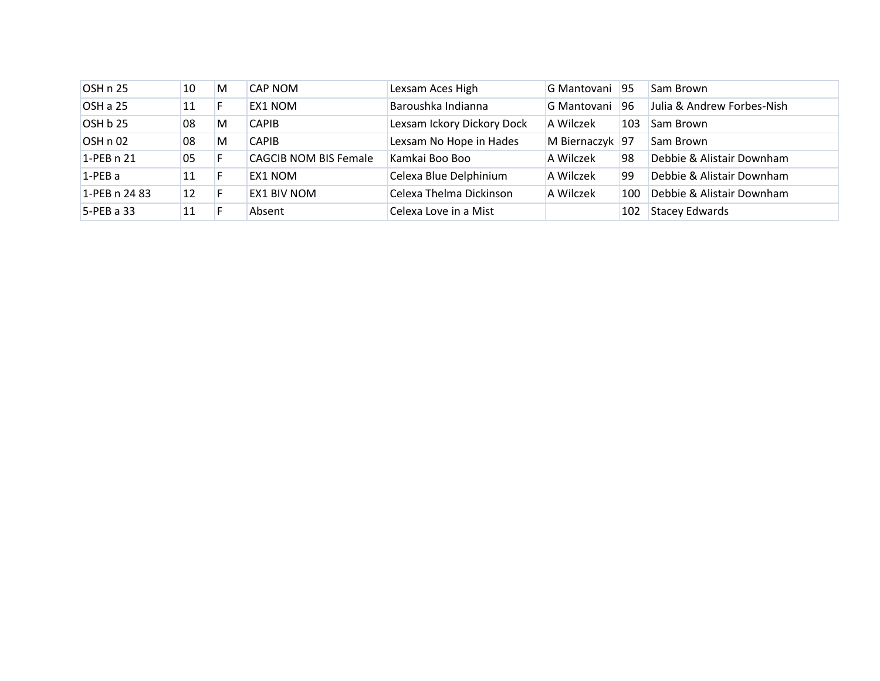| OSH n 25      | 10 | M  | CAP NOM                      | Lexsam Aces High           | G Mantovani 95  |     | Sam Brown                  |
|---------------|----|----|------------------------------|----------------------------|-----------------|-----|----------------------------|
| OSH a 25      | 11 | н. | <b>EX1 NOM</b>               | Baroushka Indianna         | G Mantovani     | 96  | Julia & Andrew Forbes-Nish |
| OSH b 25      | 08 | M  | <b>CAPIB</b>                 | Lexsam Ickory Dickory Dock | A Wilczek       | 103 | Sam Brown                  |
| OSH n 02      | 08 | M  | <b>CAPIB</b>                 | Lexsam No Hope in Hades    | M Biernaczyk 97 |     | Sam Brown                  |
| 1-PEB n 21    | 05 |    | <b>CAGCIB NOM BIS Female</b> | Kamkai Boo Boo             | A Wilczek       | 98  | Debbie & Alistair Downham  |
| $1-PEBa$      | 11 |    | EX1 NOM                      | Celexa Blue Delphinium     | A Wilczek       | 99  | Debbie & Alistair Downham  |
| 1-PEB n 24 83 | 12 |    | <b>EX1 BIV NOM</b>           | Celexa Thelma Dickinson    | A Wilczek       | 100 | Debbie & Alistair Downham  |
| $5$ -PEB a 33 | 11 |    | Absent                       | Celexa Love in a Mist      |                 | 102 | <b>Stacey Edwards</b>      |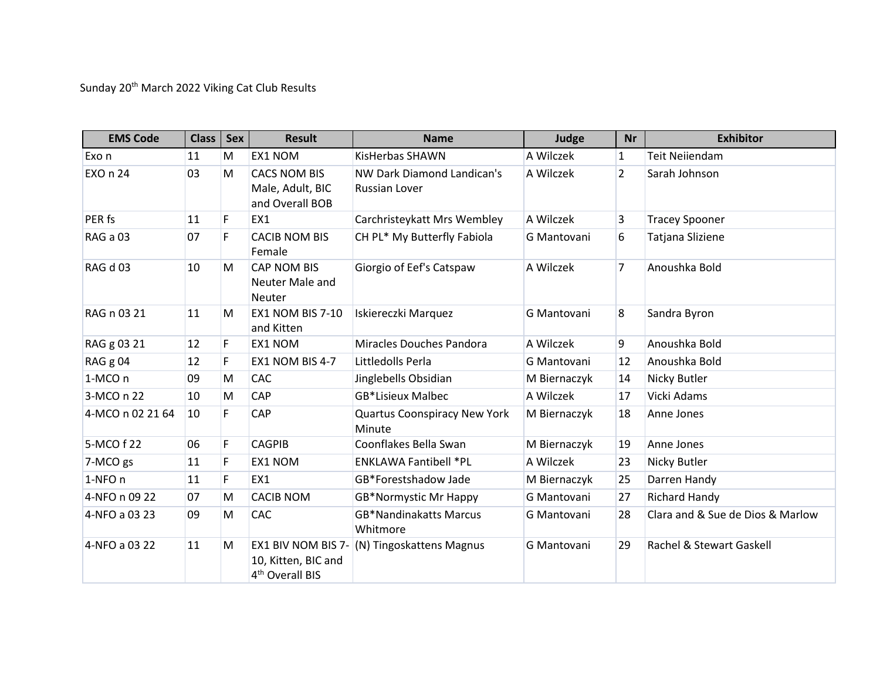Sunday 20<sup>th</sup> March 2022 Viking Cat Club Results

| <b>EMS Code</b>  | <b>Class</b> | <b>Sex</b>  | <b>Result</b>                                                            | <b>Name</b>                                   | Judge        | <b>Nr</b>      | <b>Exhibitor</b>                 |
|------------------|--------------|-------------|--------------------------------------------------------------------------|-----------------------------------------------|--------------|----------------|----------------------------------|
| Exo n            | 11           | M           | EX1 NOM                                                                  | <b>KisHerbas SHAWN</b>                        | A Wilczek    | 1              | <b>Teit Neilendam</b>            |
| EXO n 24         | 03           | M           | <b>CACS NOM BIS</b><br>Male, Adult, BIC<br>and Overall BOB               | NW Dark Diamond Landican's<br>Russian Lover   | A Wilczek    | $\overline{2}$ | Sarah Johnson                    |
| PER fs           | 11           | F.          | EX1                                                                      | Carchristeykatt Mrs Wembley                   | A Wilczek    | 3              | <b>Tracey Spooner</b>            |
| RAG a 03         | 07           | F           | <b>CACIB NOM BIS</b><br>Female                                           | CH PL* My Butterfly Fabiola                   | G Mantovani  | 6              | Tatjana Sliziene                 |
| RAG d 03         | 10           | M           | CAP NOM BIS<br>Neuter Male and<br><b>Neuter</b>                          | Giorgio of Eef's Catspaw                      | A Wilczek    | $\overline{7}$ | Anoushka Bold                    |
| RAG n 03 21      | 11           | M           | <b>EX1 NOM BIS 7-10</b><br>and Kitten                                    | Iskiereczki Marquez                           | G Mantovani  | 8              | Sandra Byron                     |
| RAG g 03 21      | 12           | F           | EX1 NOM                                                                  | Miracles Douches Pandora                      | A Wilczek    | 9              | Anoushka Bold                    |
| RAG g 04         | 12           | F           | EX1 NOM BIS 4-7                                                          | Littledolls Perla                             | G Mantovani  | 12             | Anoushka Bold                    |
| 1-MCO n          | 09           | M           | CAC                                                                      | Jinglebells Obsidian                          | M Biernaczyk | 14             | Nicky Butler                     |
| 3-MCO n 22       | 10           | M           | CAP                                                                      | <b>GB*Lisieux Malbec</b>                      | A Wilczek    | 17             | Vicki Adams                      |
| 4-MCO n 02 21 64 | 10           | F           | CAP                                                                      | <b>Quartus Coonspiracy New York</b><br>Minute | M Biernaczyk | 18             | Anne Jones                       |
| 5-MCO f 22       | 06           | $\mathsf F$ | <b>CAGPIB</b>                                                            | Coonflakes Bella Swan                         | M Biernaczyk | 19             | Anne Jones                       |
| 7-MCO gs         | 11           | F           | EX1 NOM                                                                  | <b>ENKLAWA Fantibell *PL</b>                  | A Wilczek    | 23             | Nicky Butler                     |
| 1-NFO n          | 11           | F           | EX1                                                                      | GB*Forestshadow Jade                          | M Biernaczyk | 25             | Darren Handy                     |
| 4-NFO n 09 22    | 07           | M           | <b>CACIB NOM</b>                                                         | <b>GB*Normystic Mr Happy</b>                  | G Mantovani  | 27             | <b>Richard Handy</b>             |
| 4-NFO a 03 23    | 09           | M           | CAC                                                                      | <b>GB*Nandinakatts Marcus</b><br>Whitmore     | G Mantovani  | 28             | Clara and & Sue de Dios & Marlow |
| 4-NFO a 03 22    | 11           | M           | EX1 BIV NOM BIS 7-<br>10, Kitten, BIC and<br>4 <sup>th</sup> Overall BIS | (N) Tingoskattens Magnus                      | G Mantovani  | 29             | Rachel & Stewart Gaskell         |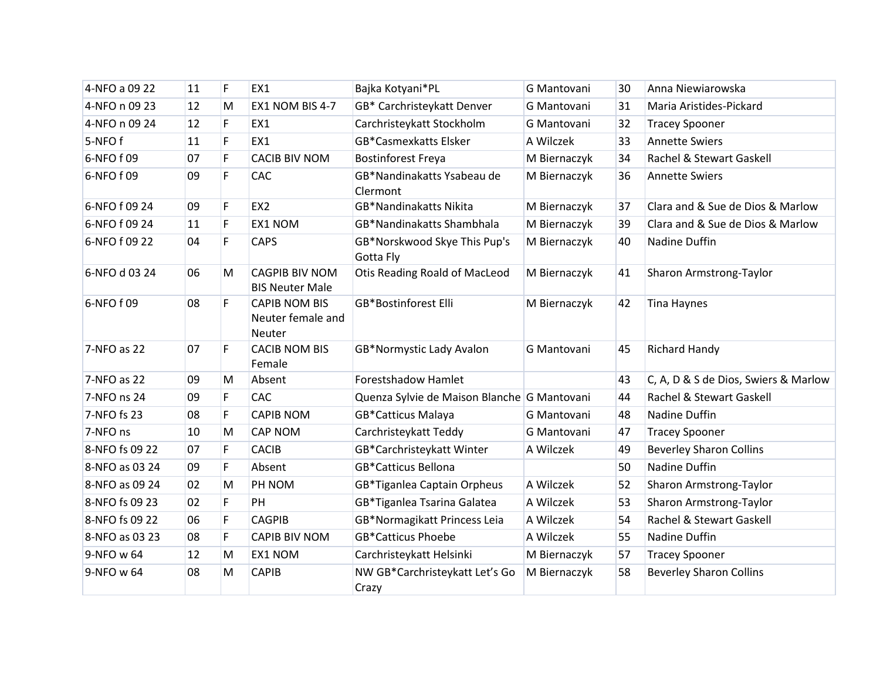| 4-NFO a 09 22  | 11 | F | EX1                                                        | Bajka Kotyani*PL                            | G Mantovani  | 30 | Anna Niewiarowska                    |
|----------------|----|---|------------------------------------------------------------|---------------------------------------------|--------------|----|--------------------------------------|
| 4-NFO n 09 23  | 12 | M | EX1 NOM BIS 4-7                                            | GB* Carchristeykatt Denver                  | G Mantovani  | 31 | Maria Aristides-Pickard              |
| 4-NFO n 09 24  | 12 | F | EX1                                                        | Carchristeykatt Stockholm                   | G Mantovani  | 32 | <b>Tracey Spooner</b>                |
| 5-NFOf         | 11 | F | EX1                                                        | <b>GB*Casmexkatts Elsker</b>                | A Wilczek    | 33 | <b>Annette Swiers</b>                |
| 6-NFO f 09     | 07 | F | <b>CACIB BIV NOM</b>                                       | <b>Bostinforest Freya</b>                   | M Biernaczyk | 34 | Rachel & Stewart Gaskell             |
| 6-NFO f 09     | 09 | F | <b>CAC</b>                                                 | GB*Nandinakatts Ysabeau de<br>Clermont      | M Biernaczyk | 36 | <b>Annette Swiers</b>                |
| 6-NFO f 09 24  | 09 | F | EX <sub>2</sub>                                            | <b>GB*Nandinakatts Nikita</b>               | M Biernaczyk | 37 | Clara and & Sue de Dios & Marlow     |
| 6-NFO f 09 24  | 11 | F | <b>EX1 NOM</b>                                             | GB*Nandinakatts Shambhala                   | M Biernaczyk | 39 | Clara and & Sue de Dios & Marlow     |
| 6-NFO f 09 22  | 04 | F | <b>CAPS</b>                                                | GB*Norskwood Skye This Pup's<br>Gotta Fly   | M Biernaczyk | 40 | Nadine Duffin                        |
| 6-NFO d 03 24  | 06 | M | <b>CAGPIB BIV NOM</b><br><b>BIS Neuter Male</b>            | <b>Otis Reading Roald of MacLeod</b>        | M Biernaczyk | 41 | Sharon Armstrong-Taylor              |
| 6-NFO f 09     | 08 | F | <b>CAPIB NOM BIS</b><br>Neuter female and<br><b>Neuter</b> | <b>GB*Bostinforest Elli</b>                 | M Biernaczyk | 42 | <b>Tina Haynes</b>                   |
| 7-NFO as 22    | 07 | F | <b>CACIB NOM BIS</b><br>Female                             | GB*Normystic Lady Avalon                    | G Mantovani  | 45 | Richard Handy                        |
| 7-NFO as 22    | 09 | M | Absent                                                     | <b>Forestshadow Hamlet</b>                  |              | 43 | C, A, D & S de Dios, Swiers & Marlow |
| 7-NFO ns 24    | 09 | F | <b>CAC</b>                                                 | Quenza Sylvie de Maison Blanche G Mantovani |              | 44 | Rachel & Stewart Gaskell             |
| 7-NFO fs 23    | 08 | F | <b>CAPIB NOM</b>                                           | <b>GB*Catticus Malaya</b>                   | G Mantovani  | 48 | Nadine Duffin                        |
| 7-NFO ns       | 10 | M | <b>CAP NOM</b>                                             | Carchristeykatt Teddy                       | G Mantovani  | 47 | <b>Tracey Spooner</b>                |
| 8-NFO fs 09 22 | 07 | F | <b>CACIB</b>                                               | GB*Carchristeykatt Winter                   | A Wilczek    | 49 | <b>Beverley Sharon Collins</b>       |
| 8-NFO as 03 24 | 09 | F | Absent                                                     | <b>GB*Catticus Bellona</b>                  |              | 50 | Nadine Duffin                        |
| 8-NFO as 09 24 | 02 | M | PH NOM                                                     | GB*Tiganlea Captain Orpheus                 | A Wilczek    | 52 | Sharon Armstrong-Taylor              |
| 8-NFO fs 09 23 | 02 | F | PH                                                         | GB*Tiganlea Tsarina Galatea                 | A Wilczek    | 53 | Sharon Armstrong-Taylor              |
| 8-NFO fs 09 22 | 06 | F | <b>CAGPIB</b>                                              | GB*Normagikatt Princess Leia                | A Wilczek    | 54 | Rachel & Stewart Gaskell             |
| 8-NFO as 03 23 | 08 | F | <b>CAPIB BIV NOM</b>                                       | <b>GB*Catticus Phoebe</b>                   | A Wilczek    | 55 | Nadine Duffin                        |
| 9-NFO w 64     | 12 | M | EX1 NOM                                                    | Carchristeykatt Helsinki                    | M Biernaczyk | 57 | <b>Tracey Spooner</b>                |
| 9-NFO w 64     | 08 | M | <b>CAPIB</b>                                               | NW GB*Carchristeykatt Let's Go<br>Crazy     | M Biernaczyk | 58 | <b>Beverley Sharon Collins</b>       |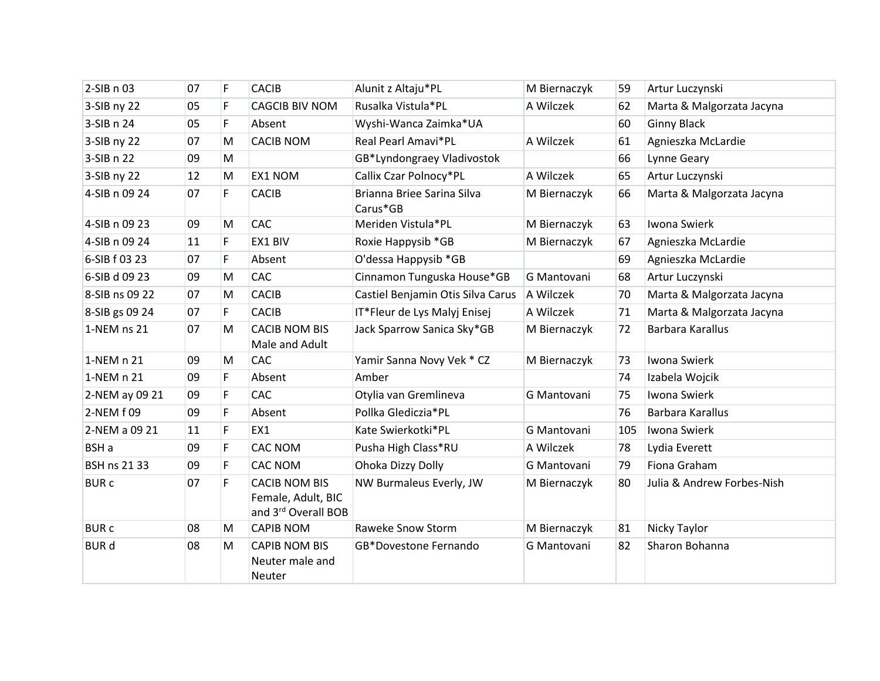| 2-SIB n 03          | 07 | F | <b>CACIB</b>                                                      | Alunit z Altaju*PL                     | M Biernaczyk | 59  | Artur Luczynski            |
|---------------------|----|---|-------------------------------------------------------------------|----------------------------------------|--------------|-----|----------------------------|
| 3-SIB ny 22         | 05 | F | <b>CAGCIB BIV NOM</b>                                             | Rusalka Vistula*PL                     | A Wilczek    | 62  | Marta & Malgorzata Jacyna  |
| 3-SIB n 24          | 05 | F | Absent                                                            | Wyshi-Wanca Zaimka*UA                  |              | 60  | <b>Ginny Black</b>         |
| 3-SIB ny 22         | 07 | M | <b>CACIB NOM</b>                                                  | Real Pearl Amavi*PL                    | A Wilczek    | 61  | Agnieszka McLardie         |
| 3-SIB n 22          | 09 | M |                                                                   | GB*Lyndongraey Vladivostok             |              | 66  | Lynne Geary                |
| 3-SIB ny 22         | 12 | M | EX1 NOM                                                           | Callix Czar Polnocy*PL                 | A Wilczek    | 65  | Artur Luczynski            |
| 4-SIB n 09 24       | 07 | F | <b>CACIB</b>                                                      | Brianna Briee Sarina Silva<br>Carus*GB | M Biernaczyk | 66  | Marta & Malgorzata Jacyna  |
| 4-SIB n 09 23       | 09 | M | <b>CAC</b>                                                        | Meriden Vistula*PL                     | M Biernaczyk | 63  | Iwona Swierk               |
| 4-SIB n 09 24       | 11 | F | EX1 BIV                                                           | Roxie Happysib *GB                     | M Biernaczyk | 67  | Agnieszka McLardie         |
| 6-SIB f 03 23       | 07 | F | Absent                                                            | O'dessa Happysib *GB                   |              | 69  | Agnieszka McLardie         |
| 6-SIB d 09 23       | 09 | M | CAC                                                               | Cinnamon Tunguska House*GB             | G Mantovani  | 68  | Artur Luczynski            |
| 8-SIB ns 09 22      | 07 | M | <b>CACIB</b>                                                      | Castiel Benjamin Otis Silva Carus      | A Wilczek    | 70  | Marta & Malgorzata Jacyna  |
| 8-SIB gs 09 24      | 07 | F | <b>CACIB</b>                                                      | IT*Fleur de Lys Malyj Enisej           | A Wilczek    | 71  | Marta & Malgorzata Jacyna  |
| 1-NEM ns 21         | 07 | M | <b>CACIB NOM BIS</b><br>Male and Adult                            | Jack Sparrow Sanica Sky*GB             | M Biernaczyk | 72  | Barbara Karallus           |
| 1-NEM n 21          | 09 | M | CAC                                                               | Yamir Sanna Novy Vek * CZ              | M Biernaczyk | 73  | Iwona Swierk               |
| 1-NEM n 21          | 09 | F | Absent                                                            | Amber                                  |              | 74  | Izabela Wojcik             |
| 2-NEM ay 09 21      | 09 | F | <b>CAC</b>                                                        | Otylia van Gremlineva                  | G Mantovani  | 75  | Iwona Swierk               |
| 2-NEM f 09          | 09 | F | Absent                                                            | Pollka Glediczia*PL                    |              | 76  | Barbara Karallus           |
| 2-NEM a 09 21       | 11 | F | EX1                                                               | Kate Swierkotki*PL                     | G Mantovani  | 105 | Iwona Swierk               |
| BSH a               | 09 | F | <b>CAC NOM</b>                                                    | Pusha High Class*RU                    | A Wilczek    | 78  | Lydia Everett              |
| <b>BSH ns 21 33</b> | 09 | F | <b>CAC NOM</b>                                                    | Ohoka Dizzy Dolly                      | G Mantovani  | 79  | Fiona Graham               |
| <b>BURC</b>         | 07 | F | <b>CACIB NOM BIS</b><br>Female, Adult, BIC<br>and 3rd Overall BOB | NW Burmaleus Everly, JW                | M Biernaczyk | 80  | Julia & Andrew Forbes-Nish |
| <b>BURC</b>         | 08 | M | <b>CAPIB NOM</b>                                                  | Raweke Snow Storm                      | M Biernaczyk | 81  | Nicky Taylor               |
| <b>BUR d</b>        | 08 | M | <b>CAPIB NOM BIS</b><br>Neuter male and<br>Neuter                 | GB*Dovestone Fernando                  | G Mantovani  | 82  | Sharon Bohanna             |